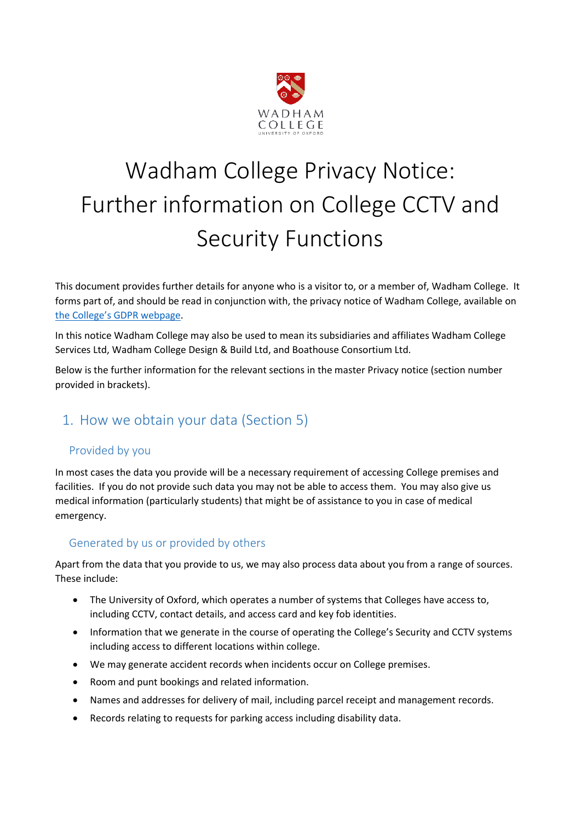

# Wadham College Privacy Notice: Further information on College CCTV and Security Functions

This document provides further details for anyone who is a visitor to, or a member of, Wadham College. It forms part of, and should be read in conjunction with, the privacy notice of Wadham College, available on [the College's GDPR webpage](https://www.wadham.ox.ac.uk/governance/wadham-college-gdpr-framework).

In this notice Wadham College may also be used to mean its subsidiaries and affiliates Wadham College Services Ltd, Wadham College Design & Build Ltd, and Boathouse Consortium Ltd.

Below is the further information for the relevant sections in the master Privacy notice (section number provided in brackets).

# 1. How we obtain your data (Section 5)

### Provided by you

In most cases the data you provide will be a necessary requirement of accessing College premises and facilities. If you do not provide such data you may not be able to access them. You may also give us medical information (particularly students) that might be of assistance to you in case of medical emergency.

### Generated by us or provided by others

Apart from the data that you provide to us, we may also process data about you from a range of sources. These include:

- The University of Oxford, which operates a number of systems that Colleges have access to, including CCTV, contact details, and access card and key fob identities.
- Information that we generate in the course of operating the College's Security and CCTV systems including access to different locations within college.
- We may generate accident records when incidents occur on College premises.
- Room and punt bookings and related information.
- Names and addresses for delivery of mail, including parcel receipt and management records.
- Records relating to requests for parking access including disability data.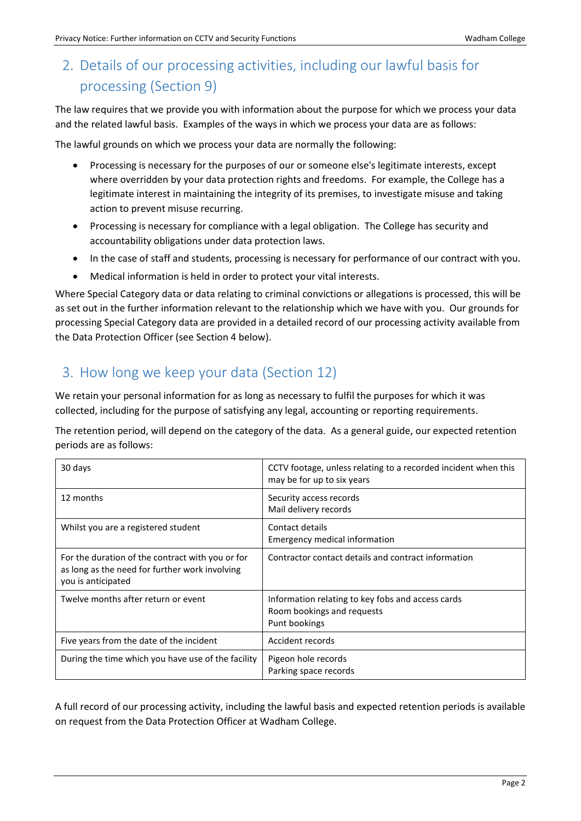# 2. Details of our processing activities, including our lawful basis for processing (Section 9)

The law requires that we provide you with information about the purpose for which we process your data and the related lawful basis. Examples of the ways in which we process your data are as follows:

The lawful grounds on which we process your data are normally the following:

- Processing is necessary for the purposes of our or someone else's legitimate interests, except where overridden by your data protection rights and freedoms. For example, the College has a legitimate interest in maintaining the integrity of its premises, to investigate misuse and taking action to prevent misuse recurring.
- Processing is necessary for compliance with a legal obligation. The College has security and accountability obligations under data protection laws.
- In the case of staff and students, processing is necessary for performance of our contract with you.
- Medical information is held in order to protect your vital interests.

Where Special Category data or data relating to criminal convictions or allegations is processed, this will be as set out in the further information relevant to the relationship which we have with you. Our grounds for processing Special Category data are provided in a detailed record of our processing activity available from the Data Protection Officer (see Section 4 below).

## 3. How long we keep your data (Section 12)

We retain your personal information for as long as necessary to fulfil the purposes for which it was collected, including for the purpose of satisfying any legal, accounting or reporting requirements.

The retention period, will depend on the category of the data. As a general guide, our expected retention periods are as follows:

| 30 days                                                                                                                  | CCTV footage, unless relating to a recorded incident when this<br>may be for up to six years     |  |
|--------------------------------------------------------------------------------------------------------------------------|--------------------------------------------------------------------------------------------------|--|
| 12 months                                                                                                                | Security access records<br>Mail delivery records                                                 |  |
| Whilst you are a registered student                                                                                      | Contact details<br>Emergency medical information                                                 |  |
| For the duration of the contract with you or for<br>as long as the need for further work involving<br>you is anticipated | Contractor contact details and contract information                                              |  |
| Twelve months after return or event                                                                                      | Information relating to key fobs and access cards<br>Room bookings and requests<br>Punt bookings |  |
| Five years from the date of the incident                                                                                 | Accident records                                                                                 |  |
| During the time which you have use of the facility                                                                       | Pigeon hole records<br>Parking space records                                                     |  |

A full record of our processing activity, including the lawful basis and expected retention periods is available on request from the Data Protection Officer at Wadham College.